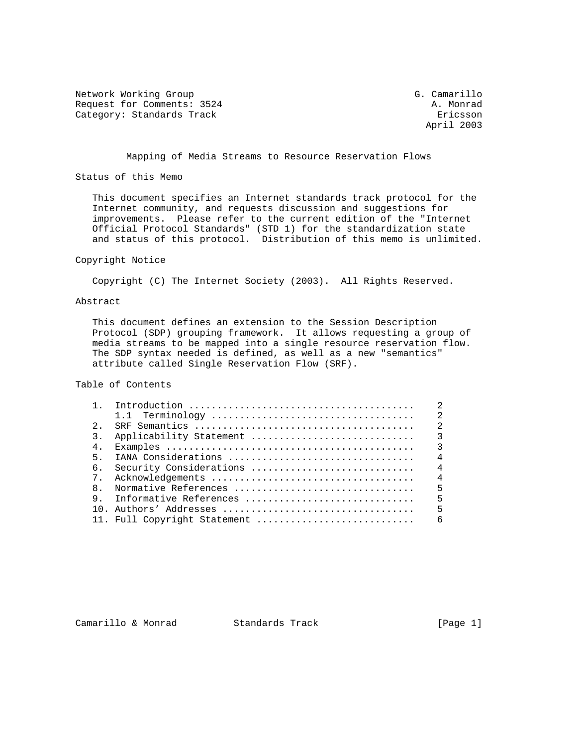Network Working Group G. Camarillo Request for Comments: 3524 A. Monrad Category: Standards Track Ericsson

April 2003

Mapping of Media Streams to Resource Reservation Flows

Status of this Memo

 This document specifies an Internet standards track protocol for the Internet community, and requests discussion and suggestions for improvements. Please refer to the current edition of the "Internet Official Protocol Standards" (STD 1) for the standardization state and status of this protocol. Distribution of this memo is unlimited.

## Copyright Notice

Copyright (C) The Internet Society (2003). All Rights Reserved.

## Abstract

 This document defines an extension to the Session Description Protocol (SDP) grouping framework. It allows requesting a group of media streams to be mapped into a single resource reservation flow. The SDP syntax needed is defined, as well as a new "semantics" attribute called Single Reservation Flow (SRF).

Table of Contents

|                  |                              | $\mathfrak{D}$          |
|------------------|------------------------------|-------------------------|
|                  |                              | $\overline{2}$          |
|                  |                              | $\mathfrak{D}$          |
| $\overline{3}$ . |                              |                         |
| 4 <sub>1</sub>   |                              | $\overline{\mathbf{3}}$ |
| $5 -$            | IANA Considerations          | $\overline{4}$          |
| რ.               | Security Considerations      | $\overline{4}$          |
| 7 <sup>1</sup>   |                              | $\overline{4}$          |
| $\mathsf{R}$     | Normative References         | 5                       |
| 9                |                              |                         |
|                  |                              | 5                       |
|                  | 11. Full Copyright Statement | 6                       |

Camarillo & Monrad Standards Track (Page 1)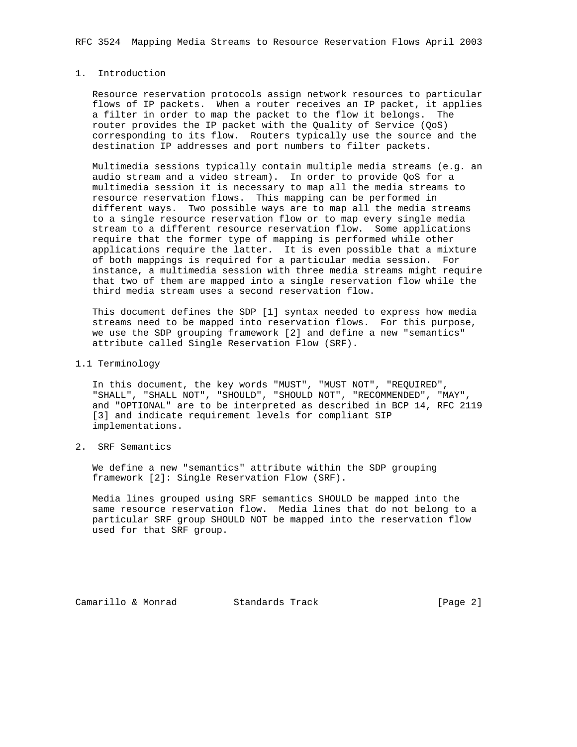## 1. Introduction

 Resource reservation protocols assign network resources to particular flows of IP packets. When a router receives an IP packet, it applies a filter in order to map the packet to the flow it belongs. The router provides the IP packet with the Quality of Service (QoS) corresponding to its flow. Routers typically use the source and the destination IP addresses and port numbers to filter packets.

 Multimedia sessions typically contain multiple media streams (e.g. an audio stream and a video stream). In order to provide QoS for a multimedia session it is necessary to map all the media streams to resource reservation flows. This mapping can be performed in different ways. Two possible ways are to map all the media streams to a single resource reservation flow or to map every single media stream to a different resource reservation flow. Some applications require that the former type of mapping is performed while other applications require the latter. It is even possible that a mixture of both mappings is required for a particular media session. For instance, a multimedia session with three media streams might require that two of them are mapped into a single reservation flow while the third media stream uses a second reservation flow.

 This document defines the SDP [1] syntax needed to express how media streams need to be mapped into reservation flows. For this purpose, we use the SDP grouping framework [2] and define a new "semantics" attribute called Single Reservation Flow (SRF).

1.1 Terminology

 In this document, the key words "MUST", "MUST NOT", "REQUIRED", "SHALL", "SHALL NOT", "SHOULD", "SHOULD NOT", "RECOMMENDED", "MAY", and "OPTIONAL" are to be interpreted as described in BCP 14, RFC 2119 [3] and indicate requirement levels for compliant SIP implementations.

2. SRF Semantics

 We define a new "semantics" attribute within the SDP grouping framework [2]: Single Reservation Flow (SRF).

 Media lines grouped using SRF semantics SHOULD be mapped into the same resource reservation flow. Media lines that do not belong to a particular SRF group SHOULD NOT be mapped into the reservation flow used for that SRF group.

Camarillo & Monrad Standards Track [Page 2]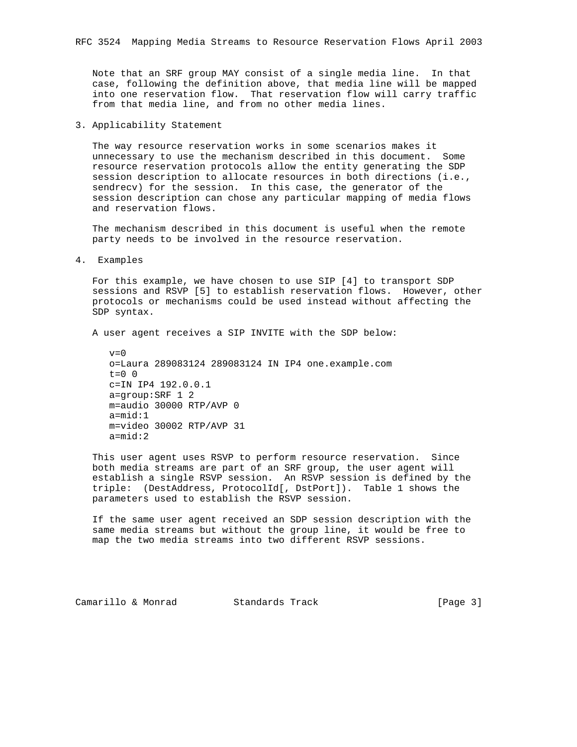Note that an SRF group MAY consist of a single media line. In that case, following the definition above, that media line will be mapped into one reservation flow. That reservation flow will carry traffic from that media line, and from no other media lines.

3. Applicability Statement

 The way resource reservation works in some scenarios makes it unnecessary to use the mechanism described in this document. Some resource reservation protocols allow the entity generating the SDP session description to allocate resources in both directions (i.e., sendrecv) for the session. In this case, the generator of the session description can chose any particular mapping of media flows and reservation flows.

 The mechanism described in this document is useful when the remote party needs to be involved in the resource reservation.

4. Examples

 For this example, we have chosen to use SIP [4] to transport SDP sessions and RSVP [5] to establish reservation flows. However, other protocols or mechanisms could be used instead without affecting the SDP syntax.

A user agent receives a SIP INVITE with the SDP below:

```
v=0 o=Laura 289083124 289083124 IN IP4 one.example.com
t=0 0
 c=IN IP4 192.0.0.1
 a=group:SRF 1 2
 m=audio 30000 RTP/AVP 0
 a=mid:1
 m=video 30002 RTP/AVP 31
 a=mid:2
```
 This user agent uses RSVP to perform resource reservation. Since both media streams are part of an SRF group, the user agent will establish a single RSVP session. An RSVP session is defined by the triple: (DestAddress, ProtocolId[, DstPort]). Table 1 shows the parameters used to establish the RSVP session.

 If the same user agent received an SDP session description with the same media streams but without the group line, it would be free to map the two media streams into two different RSVP sessions.

Camarillo & Monrad Standards Track (Page 3)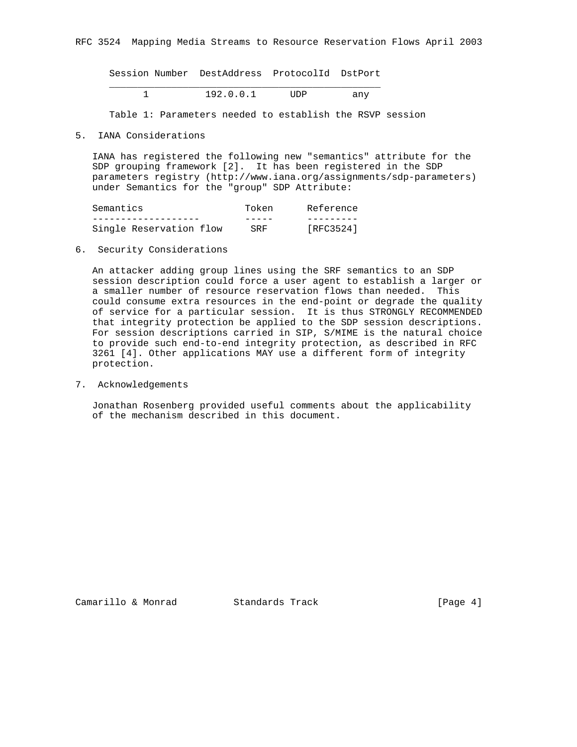Session Number DestAddress ProtocolId DstPort

 \_\_\_\_\_\_\_\_\_\_\_\_\_\_\_\_\_\_\_\_\_\_\_\_\_\_\_\_\_\_\_\_\_\_\_\_\_\_\_\_\_\_\_\_\_\_\_\_ 1 192.0.0.1 UDP any

Table 1: Parameters needed to establish the RSVP session

5. IANA Considerations

 IANA has registered the following new "semantics" attribute for the SDP grouping framework [2]. It has been registered in the SDP parameters registry (http://www.iana.org/assignments/sdp-parameters) under Semantics for the "group" SDP Attribute:

| Semantics               | Token | Reference |
|-------------------------|-------|-----------|
|                         |       |           |
| Single Reservation flow | SRF   | [RFC3524] |

6. Security Considerations

 An attacker adding group lines using the SRF semantics to an SDP session description could force a user agent to establish a larger or a smaller number of resource reservation flows than needed. This could consume extra resources in the end-point or degrade the quality of service for a particular session. It is thus STRONGLY RECOMMENDED that integrity protection be applied to the SDP session descriptions. For session descriptions carried in SIP, S/MIME is the natural choice to provide such end-to-end integrity protection, as described in RFC 3261 [4]. Other applications MAY use a different form of integrity protection.

7. Acknowledgements

 Jonathan Rosenberg provided useful comments about the applicability of the mechanism described in this document.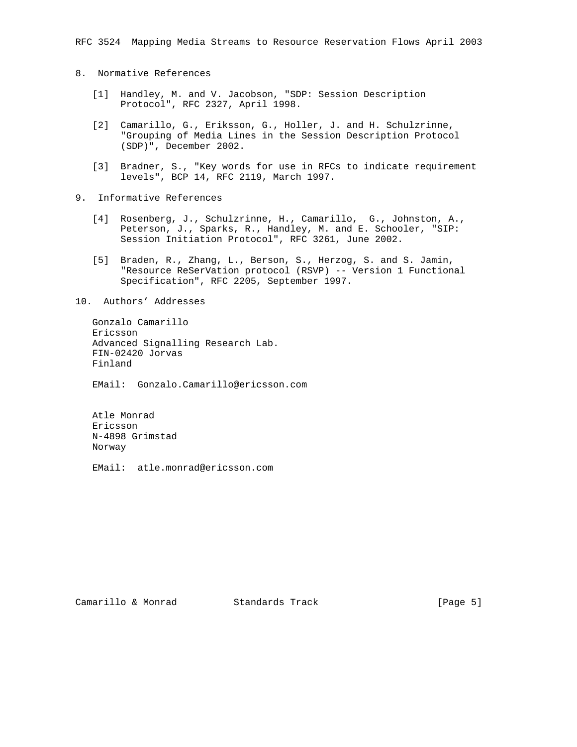- 8. Normative References
	- [1] Handley, M. and V. Jacobson, "SDP: Session Description Protocol", RFC 2327, April 1998.
	- [2] Camarillo, G., Eriksson, G., Holler, J. and H. Schulzrinne, "Grouping of Media Lines in the Session Description Protocol (SDP)", December 2002.
	- [3] Bradner, S., "Key words for use in RFCs to indicate requirement levels", BCP 14, RFC 2119, March 1997.
- 9. Informative References
	- [4] Rosenberg, J., Schulzrinne, H., Camarillo, G., Johnston, A., Peterson, J., Sparks, R., Handley, M. and E. Schooler, "SIP: Session Initiation Protocol", RFC 3261, June 2002.
	- [5] Braden, R., Zhang, L., Berson, S., Herzog, S. and S. Jamin, "Resource ReSerVation protocol (RSVP) -- Version 1 Functional Specification", RFC 2205, September 1997.

10. Authors' Addresses

 Gonzalo Camarillo Ericsson Advanced Signalling Research Lab. FIN-02420 Jorvas Finland

EMail: Gonzalo.Camarillo@ericsson.com

 Atle Monrad Ericsson N-4898 Grimstad Norway

EMail: atle.monrad@ericsson.com

Camarillo & Monrad Standards Track (Page 5)